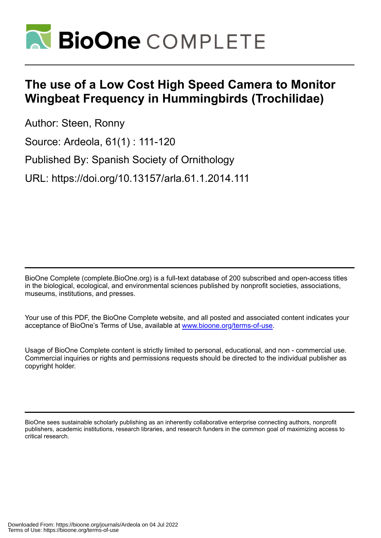

# **The use of a Low Cost High Speed Camera to Monitor Wingbeat Frequency in Hummingbirds (Trochilidae)**

Author: Steen, Ronny

Source: Ardeola, 61(1) : 111-120

Published By: Spanish Society of Ornithology

URL: https://doi.org/10.13157/arla.61.1.2014.111

BioOne Complete (complete.BioOne.org) is a full-text database of 200 subscribed and open-access titles in the biological, ecological, and environmental sciences published by nonprofit societies, associations, museums, institutions, and presses.

Your use of this PDF, the BioOne Complete website, and all posted and associated content indicates your acceptance of BioOne's Terms of Use, available at www.bioone.org/terms-of-use.

Usage of BioOne Complete content is strictly limited to personal, educational, and non - commercial use. Commercial inquiries or rights and permissions requests should be directed to the individual publisher as copyright holder.

BioOne sees sustainable scholarly publishing as an inherently collaborative enterprise connecting authors, nonprofit publishers, academic institutions, research libraries, and research funders in the common goal of maximizing access to critical research.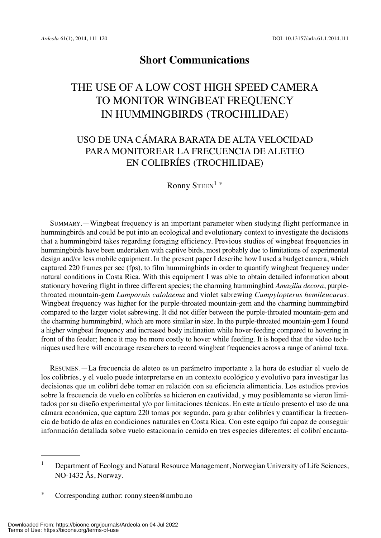# **Short Communications**

# THE USE OF A LOW COST HIGH SPEED CAMERA TO MONITOR WINGBEAT FREQUENCY IN HUMMINGBIRDS (TROCHILIDAE)

# USO DE UNA CÁMARA BARATA DE ALTA VELOCIDAD PARA MONITOREAR LA FRECUENCIA DE ALETEO EN COLIBRÍES (TROCHILIDAE)

Ronny STEEN<sup>1</sup>\*

SUMMARY.—Wingbeat frequency is an important parameter when studying flight performance in hummingbirds and could be put into an ecological and evolutionary context to investigate the decisions that a hummingbird takes regarding foraging efficiency. Previous studies of wingbeat frequencies in hummingbirds have been undertaken with captive birds, most probably due to limitations of experimental design and/or less mobile equipment. In the present paper I describe how I used a budget camera, which captured 220 frames per sec (fps), to film hummingbirds in order to quantify wingbeat frequency under natural conditions in Costa Rica. With this equipment I was able to obtain detailed information about stationary hovering flight in three different species; the charming hummingbird *Amazilia decora*, purplethroated mountain-gem *Lampornis calolaema* and violet sabrewing *Campylopterus hemileucurus*. Wingbeat frequency was higher for the purple-throated mountain-gem and the charming hummingbird compared to the larger violet sabrewing. It did not differ between the purple-throated mountain-gem and the charming hummingbird, which are more similar in size. In the purple-throated mountain-gem I found a higher wingbeat frequency and increased body inclination while hover-feeding compared to hovering in front of the feeder; hence it may be more costly to hover while feeding. It is hoped that the video techniques used here will encourage researchers to record wingbeat frequencies across a range of animal taxa.

RESUMEN.—La frecuencia de aleteo es un parámetro importante a la hora de estudiar el vuelo de los colibríes, y el vuelo puede interpretarse en un contexto ecológico y evolutivo para investigar las decisiones que un colibrí debe tomar en relación con su eficiencia alimenticia. Los estudios previos sobre la frecuencia de vuelo en colibríes se hicieron en cautividad, y muy posiblemente se vieron limitados por su diseño experimental y/o por limitaciones técnicas. En este artículo presento el uso de una cámara económica, que captura 220 tomas por segundo, para grabar colibríes y cuantificar la frecuencia de batido de alas en condiciones naturales en Costa Rica. Con este equipo fui capaz de conseguir información detallada sobre vuelo estacionario cernido en tres especies diferentes: el colibrí encanta-

<sup>&</sup>lt;sup>1</sup> Department of Ecology and Natural Resource Management, Norwegian University of Life Sciences, NO-1432 Ås, Norway.

<sup>\*</sup> Corresponding author: ronny.steen@nmbu.no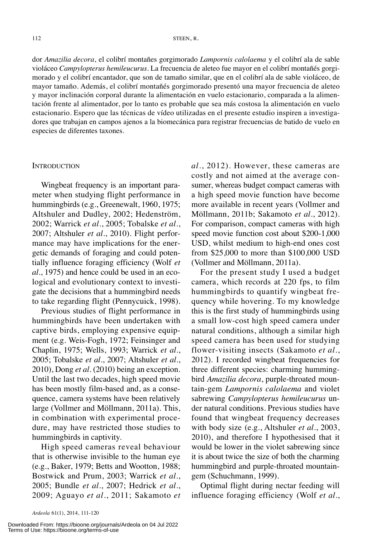dor *Amazilia decora*, el colibrí montañes gorgimorado *Lampornis calolaema* y el colibrí ala de sable violáceo *Campylopterus hemileucurus*. La frecuencia de aleteo fue mayor en el colibrí montañés gorgimorado y el colibrí encantador, que son de tamaño similar, que en el colibrí ala de sable violáceo, de mayor tamaño. Además, el colibrí montañés gorgimorado presentó una mayor frecuencia de aleteo y mayor inclinación corporal durante la alimentación en vuelo estacionario, comparada a la alimentación frente al alimentador, por lo tanto es probable que sea más costosa la alimentación en vuelo estacionario. Espero que las técnicas de vídeo utilizadas en el presente estudio inspiren a investigadores que trabajan en campos ajenos a la biomecánica para registrar frecuencias de batido de vuelo en especies de diferentes taxones.

#### **INTRODUCTION**

Wingbeat frequency is an important parameter when studying flight performance in hummingbirds (e.g., Greenewalt, 1960, 1975; Altshuler and Dudley, 2002; Hedenström, 2002; Warrick *et al.*, 2005; Tobalske *et al.*, 2007; Altshuler *et al.*, 2010). Flight performance may have implications for the energetic demands of foraging and could potentially influence foraging efficiency (Wolf *et al.*, 1975) and hence could be used in an ecological and evolutionary context to investigate the decisions that a hummingbird needs to take regarding flight (Pennycuick, 1998).

Previous studies of flight performance in hummingbirds have been undertaken with captive birds, employing expensive equipment (e.g. Weis-Fogh, 1972; Feinsinger and Chaplin, 1975; Wells, 1993; Warrick *et al.*, 2005; Tobalske *et al.*, 2007; Altshuler *et al.*, 2010), Dong *et al.* (2010) being an exception. Until the last two decades, high speed movie has been mostly film-based and, as a consequence, camera systems have been relatively large (Vollmer and Möllmann, 2011a). This, in combination with experimental procedure, may have restricted those studies to hummingbirds in captivity.

High speed cameras reveal behaviour that is otherwise invisible to the human eye (e.g., Baker, 1979; Betts and Wootton, 1988; Bostwick and Prum, 2003; Warrick *et al.*, 2005; Bundle *et al.*, 2007; Hedrick *et al.*, 2009; Aguayo *et al.*, 2011; Sakamoto *et*

*al.*, 2012). However, these cameras are costly and not aimed at the average consumer, whereas budget compact cameras with a high speed movie function have become more available in recent years (Vollmer and Möllmann, 2011b; Sakamoto *et al.*, 2012). For comparison, compact cameras with high speed movie function cost about \$200-1,000 USD, whilst medium to high-end ones cost from \$25,000 to more than \$100,000 USD (Vollmer and Möllmann, 2011a).

For the present study I used a budget camera, which records at 220 fps, to film hummingbirds to quantify wingbeat frequency while hovering. To my knowledge this is the first study of hummingbirds using a small low-cost high speed camera under natural conditions, although a similar high speed camera has been used for studying flower-visiting insects (Sakamoto *et al.*, 2012). I recorded wingbeat frequencies for three different species: charming hummingbird *Amazilia decora*, purple-throated mountain-gem *Lampornis calolaema* and violet sabrewing *Campylopterus hemileucurus* under natural conditions. Previous studies have found that wingbeat frequency decreases with body size (e.g., Altshuler *et al.*, 2003, 2010), and therefore I hypothesised that it would be lower in the violet sabrewing since it is about twice the size of both the charming hummingbird and purple-throated mountaingem (Schuchmann, 1999).

Optimal flight during nectar feeding will influence foraging efficiency (Wolf *et al*.,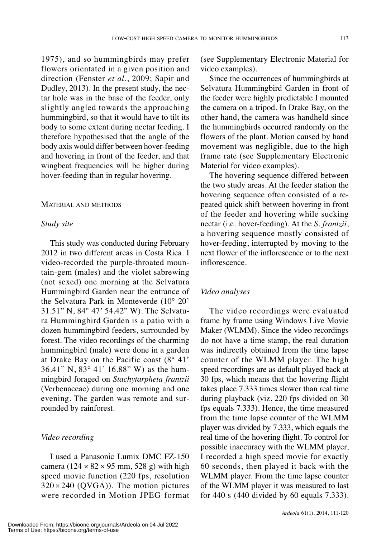1975), and so hummingbirds may prefer flowers orientated in a given position and direction (Fenster *et al.*, 2009; Sapir and Dudley, 2013). In the present study, the nectar hole was in the base of the feeder, only slightly angled towards the approaching hummingbird, so that it would have to tilt its body to some extent during nectar feeding. I therefore hypothesised that the angle of the body axis would differ between hover-feeding and hovering in front of the feeder, and that wingbeat frequencies will be higher during hover-feeding than in regular hovering.

#### MATERIAL AND METHODS

## *Study site*

This study was conducted during February 2012 in two different areas in Costa Rica. I video-recorded the purple-throated mountain-gem (males) and the violet sabrewing (not sexed) one morning at the Selvatura Hummingbird Garden near the entrance of the Selvatura Park in Monteverde (10° 20' 31.51" N, 84° 47' 54.42" W). The Selvatura Hummingbird Garden is a patio with a dozen hummingbird feeders, surrounded by forest. The video recordings of the charming hummingbird (male) were done in a garden at Drake Bay on the Pacific coast (8° 41' 36.41" N, 83° 41' 16.88" W) as the hummingbird foraged on *Stachytarpheta frantzii* (Verbenaceae) during one morning and one evening. The garden was remote and surrounded by rainforest.

# *Video recording*

I used a Panasonic Lumix DMC FZ-150 camera ( $124 \times 82 \times 95$  mm, 528 g) with high speed movie function (220 fps, resolution  $320 \times 240$  (QVGA)). The motion pictures were recorded in Motion JPEG format (see Supplementary Electronic Material for video examples).

Since the occurrences of hummingbirds at Selvatura Hummingbird Garden in front of the feeder were highly predictable I mounted the camera on a tripod. In Drake Bay, on the other hand, the camera was handheld since the hummingbirds occurred randomly on the flowers of the plant. Motion caused by hand movement was negligible, due to the high frame rate (see Supplementary Electronic Material for video examples).

The hovering sequence differed between the two study areas. At the feeder station the hovering sequence often consisted of a repeated quick shift between hovering in front of the feeder and hovering while sucking nectar (i.e. hover-feeding). At the *S. frantzii*, a hovering sequence mostly consisted of hover-feeding, interrupted by moving to the next flower of the inflorescence or to the next inflorescence.

#### *Video analyses*

The video recordings were evaluated frame by frame using Windows Live Movie Maker (WLMM). Since the video recordings do not have a time stamp, the real duration was indirectly obtained from the time lapse counter of the WLMM player. The high speed recordings are as default played back at 30 fps, which means that the hovering flight takes place 7.333 times slower than real time during playback (viz. 220 fps divided on 30 fps equals 7.333). Hence, the time measured from the time lapse counter of the WLMM player was divided by 7.333, which equals the real time of the hovering flight. To control for possible inaccuracy with the WLMM player, I recorded a high speed movie for exactly 60 seconds, then played it back with the WLMM player. From the time lapse counter of the WLMM player it was measured to last for 440 s (440 divided by 60 equals 7.333).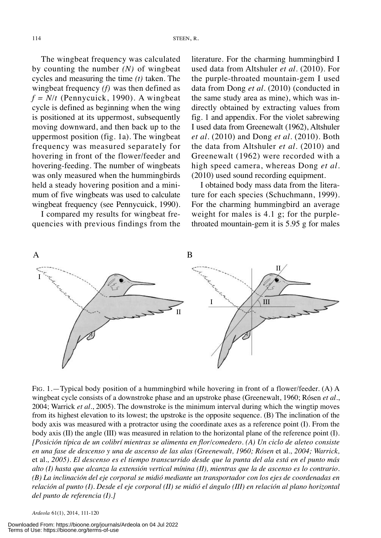The wingbeat frequency was calculated by counting the number *(N)* of wingbeat cycles and measuring the time *(t)* taken. The wingbeat frequency *(f)* was then defined as  $f = N/t$  (Pennycuick, 1990). A wingbeat cycle is defined as beginning when the wing is positioned at its uppermost, subsequently moving downward, and then back up to the uppermost position (fig. 1a). The wingbeat frequency was measured separately for hovering in front of the flower/feeder and hovering-feeding. The number of wingbeats was only measured when the hummingbirds held a steady hovering position and a minimum of five wingbeats was used to calculate wingbeat frequency (see Pennycuick, 1990).

I compared my results for wingbeat frequencies with previous findings from the literature. For the charming hummingbird I used data from Altshuler *et al.* (2010). For the purple-throated mountain-gem I used data from Dong *et al.* (2010) (conducted in the same study area as mine), which was indirectly obtained by extracting values from fig. 1 and appendix. For the violet sabrewing I used data from Greenewalt (1962), Altshuler *et al.* (2010) and Dong *et al.* (2010). Both the data from Altshuler *et al.* (2010) and Greenewalt (1962) were recorded with a high speed camera, whereas Dong *et al.* (2010) used sound recording equipment.

I obtained body mass data from the literature for each species (Schuchmann, 1999). For the charming hummingbird an average weight for males is 4.1 g; for the purplethroated mountain-gem it is 5.95 g for males



FIG. 1.—Typical body position of a hummingbird while hovering in front of a flower/feeder. (A) A wingbeat cycle consists of a downstroke phase and an upstroke phase (Greenewalt, 1960; Rósen *et al.*, 2004; Warrick *et al.*, 2005). The downstroke is the minimum interval during which the wingtip moves from its highest elevation to its lowest; the upstroke is the opposite sequence. (B) The inclination of the body axis was measured with a protractor using the coordinate axes as a reference point (I). From the body axis (II) the angle (III) was measured in relation to the horizontal plane of the reference point (I). *[Posición típica de un colibrí mientras se alimenta en flor/comedero. (A) Un ciclo de aleteo consiste* en una fase de descenso y una de ascenso de las alas (Greenewalt, 1960; Rósen et al., 2004; Warrick, et al., 2005). El descenso es el tiempo transcurrido desde que la punta del ala está en el punto más alto (I) hasta que alcanza la extensión vertical mínina (II), mientras que la de ascenso es lo contrario. *(B) La inclinación del eje corporal se midió mediante un transportador con los ejes de coordenadas en* relación al punto (I). Desde el eje corporal (II) se midió el ángulo (III) en relación al plano horizontal *del punto de referencia (I).]*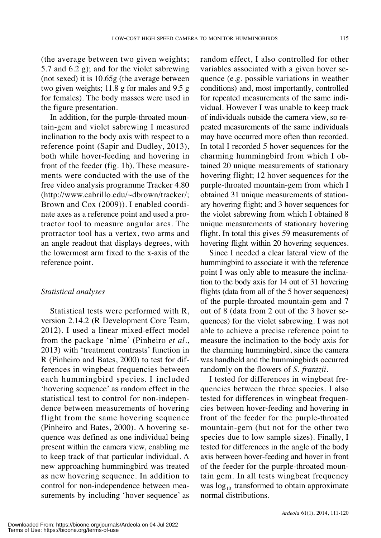(the average between two given weights; 5.7 and 6.2 g); and for the violet sabrewing (not sexed) it is 10.65g (the average between two given weights; 11.8 g for males and 9.5 g for females). The body masses were used in the figure presentation.

In addition, for the purple-throated mountain-gem and violet sabrewing I measured inclination to the body axis with respect to a reference point (Sapir and Dudley, 2013), both while hover-feeding and hovering in front of the feeder (fig. 1b). These measurements were conducted with the use of the free video analysis programme Tracker 4.80 (http://www.cabrillo.edu/~dbrown/tracker/; Brown and Cox (2009)). I enabled coordinate axes as a reference point and used a protractor tool to measure angular arcs. The protractor tool has a vertex, two arms and an angle readout that displays degrees, with the lowermost arm fixed to the x-axis of the reference point.

## *Statistical analyses*

Statistical tests were performed with R, version 2.14.2 (R Development Core Team, 2012). I used a linear mixed-effect model from the package 'nlme' (Pinheiro *et al*., 2013) with 'treatment contrasts' function in R (Pinheiro and Bates, 2000) to test for differences in wingbeat frequencies between each hummingbird species. I included 'hovering sequence' as random effect in the statistical test to control for non-independence between measurements of hovering flight from the same hovering sequence (Pinheiro and Bates, 2000). A hovering sequence was defined as one individual being present within the camera view, enabling me to keep track of that particular individual. A new approaching hummingbird was treated as new hovering sequence. In addition to control for non-independence between measurements by including 'hover sequence' as

random effect, I also controlled for other variables associated with a given hover sequence (e.g. possible variations in weather conditions) and, most importantly, controlled for repeated measurements of the same individual. However I was unable to keep track of individuals outside the camera view, so repeated measurements of the same individuals may have occurred more often than recorded. In total I recorded 5 hover sequences for the charming hummingbird from which I obtained 20 unique measurements of stationary hovering flight; 12 hover sequences for the purple-throated mountain-gem from which I obtained 31 unique measurements of stationary hovering flight; and 3 hover sequences for the violet sabrewing from which I obtained 8 unique measurements of stationary hovering flight. In total this gives 59 measurements of hovering flight within 20 hovering sequences.

Since I needed a clear lateral view of the hummingbird to associate it with the reference point I was only able to measure the inclination to the body axis for 14 out of 31 hovering flights (data from all of the 5 hover sequences) of the purple-throated mountain-gem and 7 out of 8 (data from 2 out of the 3 hover sequences) for the violet sabrewing. I was not able to achieve a precise reference point to measure the inclination to the body axis for the charming hummingbird, since the camera was handheld and the hummingbirds occurred randomly on the flowers of *S. frantzii*.

I tested for differences in wingbeat frequencies between the three species. I also tested for differences in wingbeat frequencies between hover-feeding and hovering in front of the feeder for the purple-throated mountain-gem (but not for the other two species due to low sample sizes). Finally, I tested for differences in the angle of the body axis between hover-feeding and hover in front of the feeder for the purple-throated mountain gem. In all tests wingbeat frequency was  $log_{10}$  transformed to obtain approximate normal distributions.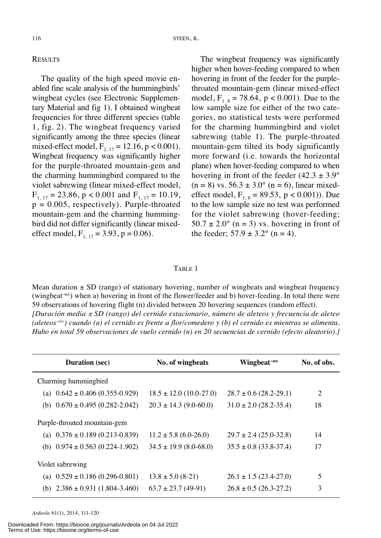# **RESULTS**

The quality of the high speed movie enabled fine scale analysis of the hummingbirds' wingbeat cycles (see Electronic Supplementary Material and fig 1). I obtained wingbeat frequencies for three different species (table 1, fig. 2). The wingbeat frequency varied significantly among the three species (linear mixed-effect model,  $F_{2, 17} = 12.16$ , p < 0.001). Wingbeat frequency was significantly higher for the purple-throated mountain-gem and the charming hummingbird compared to the violet sabrewing (linear mixed-effect model,  $F_{1, 17} = 23.86$ , p < 0.001 and  $F_{1, 17} = 10.19$ ,  $p = 0.005$ , respectively). Purple-throated mountain-gem and the charming hummingbird did not differ significantly (linear mixedeffect model,  $F_{1, 17} = 3.93$ ,  $p = 0.06$ ).

The wingbeat frequency was significantly higher when hover-feeding compared to when hovering in front of the feeder for the purplethroated mountain-gem (linear mixed-effect model,  $F_{1, 8} = 78.64$ ,  $p < 0.001$ ). Due to the low sample size for either of the two categories, no statistical tests were performed for the charming hummingbird and violet sabrewing (table 1). The purple-throated mountain-gem tilted its body significantly more forward (i.e. towards the horizontal plane) when hover-feeding compared to when hovering in front of the feeder  $(42.3 \pm 3.9^{\circ})$  $(n = 8)$  vs.  $56.3 \pm 3.0^{\circ}$  (n = 6), linear mixedeffect model,  $F_{1, 8} = 89.53$ , p < 0.001)). Due to the low sample size no test was performed for the violet sabrewing (hover-feeding;  $50.7 \pm 2.0^{\circ}$  (n = 3) vs. hovering in front of the feeder;  $57.9 \pm 3.2^{\circ}$  (n = 4).

#### TABLE 1

Mean duration  $\pm$  SD (range) of stationary hovering, number of wingbeats and wingbeat frequency (wingbeat<sup>-sec</sup>) when a) hovering in front of the flower/feeder and b) hover-feeding. In total there were 59 observations of hovering flight (n) divided between 20 hovering sequences (random effect). *[Duración media ± SD (rango) del cernido estacionario, número de aleteos y frecuencia de aleteo* (aleteos<sup>-sec</sup>) cuando (a) el cernido es frente a flor/comedero y (b) el cernido es mientras se alimenta. *Hubo en total 59 observaciones de vuelo cernido (n) en 20 secuencias de cernido (efecto aleatorio).]*

| <b>Duration</b> (sec)                  | No. of wingbeats            | Wingbeat <sup>-sec</sup>     | No. of obs. |
|----------------------------------------|-----------------------------|------------------------------|-------------|
| Charming humming bird                  |                             |                              |             |
| (a) $0.642 \pm 0.406$ (0.355-0.929)    | $18.5 \pm 12.0$ (10.0-27.0) | $28.7 \pm 0.6$ (28.2-29.1)   | 2           |
| (b) $0.670 \pm 0.495$ (0.282-2.042)    | $20.3 \pm 14.3$ (9.0-60.0)  | $31.0 \pm 2.0$ (28.2-35.4)   | 18          |
| Purple-throated mountain-gem           |                             |                              |             |
| (a) $0.376 \pm 0.189$ (0.213-0.839)    | $11.2 \pm 5.8$ (6.0-26.0)   | $29.7 \pm 2.4$ (25.0-32.8)   | 14          |
| (b) $0.974 \pm 0.563$ (0.224-1.902)    | $34.5 \pm 19.9$ (8.0-68.0)  | $35.5 \pm 0.8$ (33.8-37.4)   | 17          |
| Violet sabrewing                       |                             |                              |             |
| (a) $0.529 \pm 0.186$ (0.296-0.801)    | $13.8 \pm 5.0$ (8-21)       | $26.1 \pm 1.5 (23.4 - 27.0)$ | 5           |
| $2.386 \pm 0.931$ (1.804-3.460)<br>(b) | $63.7 \pm 23.7$ (49-91)     | $26.8 \pm 0.5$ (26.3-27.2)   | 3           |

*Ardeola* 61(1), 2014, 111-120

Downloaded From: https://bioone.org/journals/Ardeola on 04 Jul 2022 Terms of Use: https://bioone.org/terms-of-use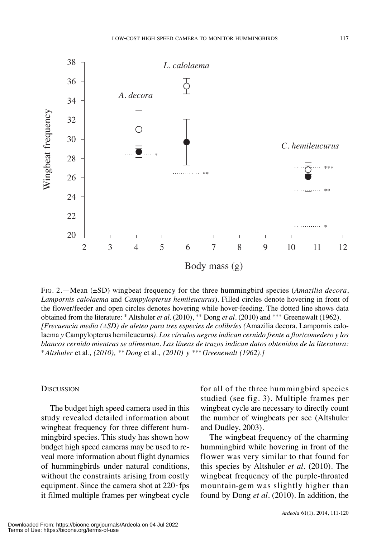

FIG. 2.—Mean (±SD) wingbeat frequency for the three hummingbird species (*Amazilia decora*, *Lampornis calolaema* and *Campylopterus hemileucurus*). Filled circles denote hovering in front of the flower/feeder and open circles denotes hovering while hover-feeding. The dotted line shows data obtained from the literature: \* Altshuler *et al.* (2010), \*\* Dong *et al.* (2010) and \*\*\* Greenewalt (1962). *[Frecuencia media (±SD) de aleteo para tres especies de colibríes (*Amazilia decora, Lampornis calolaema *y* Campylopterus hemileucurus*). Los círculos negros indican cernido frente a flor/comedero y los blancos cernido mientras se alimentan. Las líneas de trazos indican datos obtenidos de la literatura:* \**Altshuler* et al*., (2010),* \*\**Dong* et al*., (2010) y* \*\*\**Greenewalt (1962).]*

## **DISCUSSION**

The budget high speed camera used in this study revealed detailed information about wingbeat frequency for three different hummingbird species. This study has shown how budget high speed cameras may be used to reveal more information about flight dynamics of hummingbirds under natural conditions, without the constraints arising from costly equipment. Since the camera shot at  $220$  fps it filmed multiple frames per wingbeat cycle for all of the three hummingbird species studied (see fig. 3). Multiple frames per wingbeat cycle are necessary to directly count the number of wingbeats per sec (Altshuler and Dudley, 2003).

The wingbeat frequency of the charming hummingbird while hovering in front of the flower was very similar to that found for this species by Altshuler *et al.* (2010). The wingbeat frequency of the purple-throated mountain-gem was slightly higher than found by Dong *et al.* (2010). In addition, the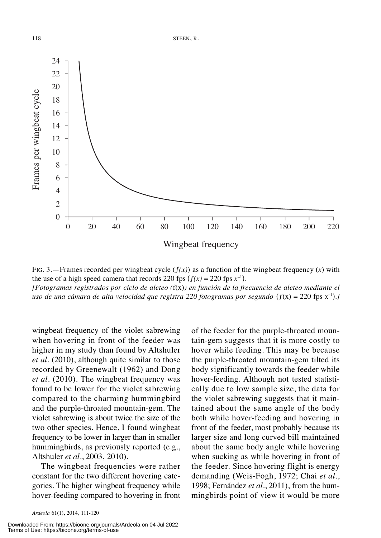

FIG. 3.—Frames recorded per wingbeat cycle  $(f(x))$  as a function of the wingbeat frequency  $(x)$  with the use of a high speed camera that records 220 fps  $(f(x) = 220$  fps  $x^{-1}$ ). *[Fotogramas registrados por ciclo de aleteo (*f(x)*) en función de la frecuencia de aleteo mediante el uso de una cámara de alta velocidad que registra 220 fotogramas por segundo* (ƒ(x) = 220 fps x–1 )*.]*

wingbeat frequency of the violet sabrewing when hovering in front of the feeder was higher in my study than found by Altshuler *et al*. (2010), although quite similar to those recorded by Greenewalt (1962) and Dong *et al*. (2010). The wingbeat frequency was found to be lower for the violet sabrewing compared to the charming hummingbird and the purple-throated mountain-gem. The violet sabrewing is about twice the size of the two other species. Hence, I found wingbeat frequency to be lower in larger than in smaller hummingbirds, as previously reported (e.g., Altshuler *et al.*, 2003, 2010).

The wingbeat frequencies were rather constant for the two different hovering categories. The higher wingbeat frequency while hover-feeding compared to hovering in front

Downloaded From: https://bioone.org/journals/Ardeola on 04 Jul 2022 Terms of Use: https://bioone.org/terms-of-use

of the feeder for the purple-throated mountain-gem suggests that it is more costly to hover while feeding. This may be because the purple-throated mountain-gem tilted its body significantly towards the feeder while hover-feeding. Although not tested statistically due to low sample size, the data for the violet sabrewing suggests that it maintained about the same angle of the body both while hover-feeding and hovering in front of the feeder, most probably because its larger size and long curved bill maintained about the same body angle while hovering when sucking as while hovering in front of the feeder. Since hovering flight is energy demanding (Weis-Fogh, 1972; Chai *et al.*, 1998; Fernández *et al.*, 2011), from the hummingbirds point of view it would be more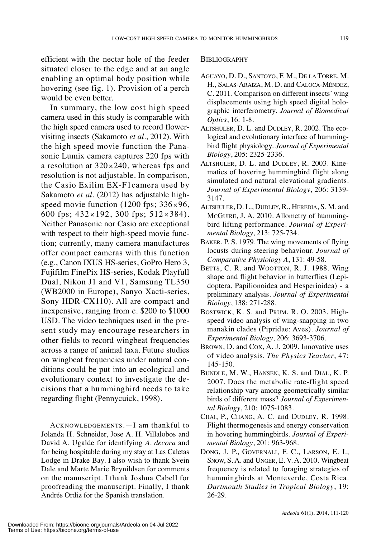efficient with the nectar hole of the feeder situated closer to the edge and at an angle enabling an optimal body position while hovering (see fig. 1). Provision of a perch would be even better.

In summary, the low cost high speed camera used in this study is comparable with the high speed camera used to record flowervisiting insects (Sakamoto *et al.*, 2012). With the high speed movie function the Panasonic Lumix camera captures 220 fps with a resolution at  $320 \times 240$ , whereas fps and resolution is not adjustable. In comparison, the Casio Exilim EX-F1camera used by Sakamoto *et al.* (2012) has adjustable highspeed movie function (1200 fps;  $336 \times 96$ , 600 fps; 432 × 192, 300 fps; 512 × 384). Neither Panasonic nor Casio are exceptional with respect to their high-speed movie function; currently, many camera manufactures offer compact cameras with this function (e.g., Canon IXUS HS-series, GoPro Hero 3, Fujifilm FinePix HS-series, Kodak Playfull Dual, Nikon J1 and V1, Samsung TL350 (WB2000 in Europe), Sanyo Xacti-series, Sony HDR-CX110). All are compact and inexpensive, ranging from c. \$200 to \$1000 USD. The video techniques used in the present study may encourage researchers in other fields to record wingbeat frequencies across a range of animal taxa. Future studies on wingbeat frequencies under natural conditions could be put into an ecological and evolutionary context to investigate the decisions that a hummingbird needs to take regarding flight (Pennycuick, 1998).

ACKNOWLEDGEMENTS.—I am thankful to Jolanda H. Schneider, Jose A. H. Villalobos and David A. Ugalde for identifying *A. decora* and for being hospitable during my stay at Las Caletas Lodge in Drake Bay. I also wish to thank Svein Dale and Marte Marie Brynildsen for comments on the manuscript. I thank Joshua Cabell for proofreading the manuscript. Finally, I thank Andrés Ordiz for the Spanish translation.

#### **BIBLIOGRAPHY**

- AGUAYO, D. D., SANTOYO, F. M., DE LA TORRE, M. H., SALAS-ARAIZA, M. D. and CALOCA-MÉNDEZ, C. 2011. Comparison on different insects' wing displacements using high speed digital holographic interferometry. *Journal of Biomedical Optics*, 16: 1-8.
- ALTSHULER, D. L. and DUDLEY, R. 2002. The ecological and evolutionary interface of hummingbird flight physiology. *Journal of Experimental Biology*, 205: 2325-2336.
- ALTSHULER, D. L. and DUDLEY, R. 2003. Kinematics of hovering hummingbird flight along simulated and natural elevational gradients. *Journal of Experimental Biology*, 206: 3139- 3147.
- ALTSHULER, D. L., DUDLEY, R., HEREDIA, S. M. and MCGUIRE, J. A. 2010. Allometry of hummingbird lifting performance. *Journal of Experimental Biology*, 213: 725-734.
- BAKER, P. S. 1979. The wing movements of flying locusts during steering behaviour. *Journal of Comparative Physiology A*, 131: 49-58.
- BETTS, C. R. and WOOTTON, R. J. 1988. Wing shape and flight behavior in butterflies (Lepidoptera, Papilionoidea and Hesperioidea) - a preliminary analysis. *Journal of Experimental Biology*, 138: 271-288.
- BOSTWICK, K. S. and PRUM, R. O. 2003. Highspeed video analysis of wing-snapping in two manakin clades (Pipridae: Aves). *Journal of Experimental Biology*, 206: 3693-3706.
- BROWN, D. and COX, A. J. 2009. Innovative uses of video analysis. *The Physics Teacher*, 47: 145-150.
- BUNDLE, M. W., HANSEN, K. S. and DIAL, K. P. 2007. Does the metabolic rate-flight speed relationship vary among geometrically similar birds of different mass? *Journal of Experimental Biology*, 210: 1075-1083.
- CHAI, P., CHANG, A. C. and DUDLEY, R. 1998. Flight thermogenesis and energy conservation in hovering hummingbirds. *Journal of Experimental Biology*, 201: 963-968.
- DONG, J. P., GOVERNALI, F. C., LARSON, E. I., SNOW, S. A. and UNGER, E. V. A. 2010. Wingbeat frequency is related to foraging strategies of hummingbirds at Monteverde, Costa Rica. *Dartmouth Studies in Tropical Biology*, 19: 26-29.